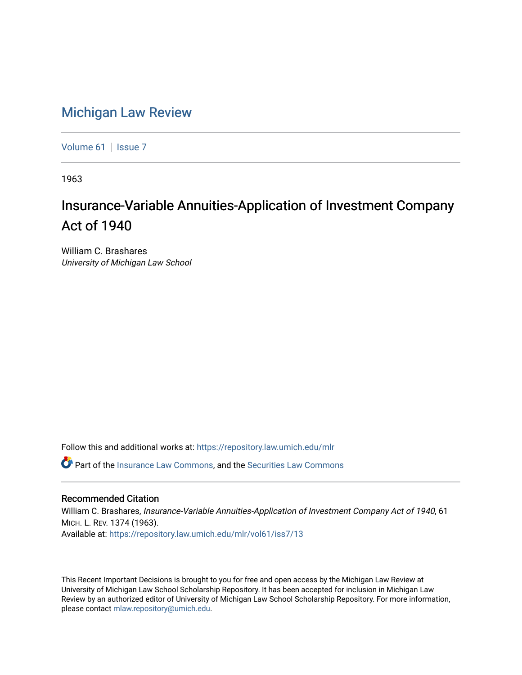## [Michigan Law Review](https://repository.law.umich.edu/mlr)

[Volume 61](https://repository.law.umich.edu/mlr/vol61) | [Issue 7](https://repository.law.umich.edu/mlr/vol61/iss7)

1963

## Insurance-Variable Annuities-Application of Investment Company Act of 1940

William C. Brashares University of Michigan Law School

Follow this and additional works at: [https://repository.law.umich.edu/mlr](https://repository.law.umich.edu/mlr?utm_source=repository.law.umich.edu%2Fmlr%2Fvol61%2Fiss7%2F13&utm_medium=PDF&utm_campaign=PDFCoverPages) 

 $\bullet$  Part of the [Insurance Law Commons](http://network.bepress.com/hgg/discipline/607?utm_source=repository.law.umich.edu%2Fmlr%2Fvol61%2Fiss7%2F13&utm_medium=PDF&utm_campaign=PDFCoverPages), and the Securities Law Commons

## Recommended Citation

William C. Brashares, Insurance-Variable Annuities-Application of Investment Company Act of 1940, 61 MICH. L. REV. 1374 (1963). Available at: [https://repository.law.umich.edu/mlr/vol61/iss7/13](https://repository.law.umich.edu/mlr/vol61/iss7/13?utm_source=repository.law.umich.edu%2Fmlr%2Fvol61%2Fiss7%2F13&utm_medium=PDF&utm_campaign=PDFCoverPages) 

This Recent Important Decisions is brought to you for free and open access by the Michigan Law Review at University of Michigan Law School Scholarship Repository. It has been accepted for inclusion in Michigan Law Review by an authorized editor of University of Michigan Law School Scholarship Repository. For more information, please contact [mlaw.repository@umich.edu.](mailto:mlaw.repository@umich.edu)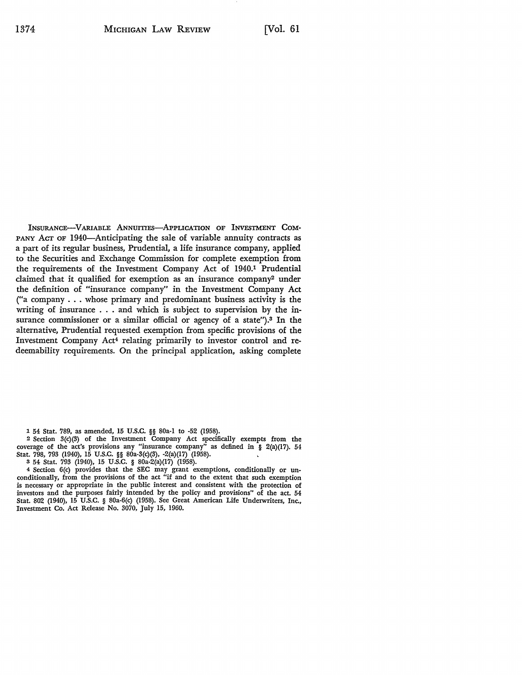INSURANCE-VARIABLE ANNUITIES-APPLICATION OF INVESTMENT COM-PANY ACT OF 1940-Anticipating the sale of variable annuity contracts as a part of its regular business, Prudential, a life insurance company, applied to the Securities and Exchange Commission for complete exemption from the requirements of the Investment Company Act of 1940.1 Prudential claimed that it qualified for exemption as an insurance company2 under the definition of "insurance company" in the Investment Company Act ("a company ... whose primary and predominant business activity is the writing of insurance . . . and which is subject to supervision by the insurance commissioner or a similar official or agency of a state").<sup>3</sup> In the alternative, Prudential requested exemption from specific provisions of the Investment Company Act4 relating primarily to investor control and redeemability requirements. On the principal application, asking complete

1 54 Stat. 789, as amended, 15 U.S.C. §§ 80a-l to -52 (1958).

 $2$  Section  $3(c)(3)$  of the Investment Company Act specifically exempts from the coverage of the act's provisions any "insurance company" as defined in  $\S$  2(a)(17). 54 Stat. 798, 793 (1940), 15 U.S.C. §§ 80a-3(c)(3),  $-2(a)(17)$  (1958).

3 54 Stat. 793 (1940), 15 U.S.C. § 80a-2(a)(17) (1958).

4 Section 6(c) provides that the SEC may grant exemptions, conditionally or unconditionally, from the provisions of the act "if and to the extent that such exemption is necessary or appropriate *in* the public interest and consistent with the protection of investors and the purposes fairly intended by the policy and provisions" of the act. 54 Stat. 802 (1940), 15 U.S.C. § 80a-6(c) (1958). See Great American Life Underwriters, Inc., Investment Co. Act Release No. 3070, July 15, 1960.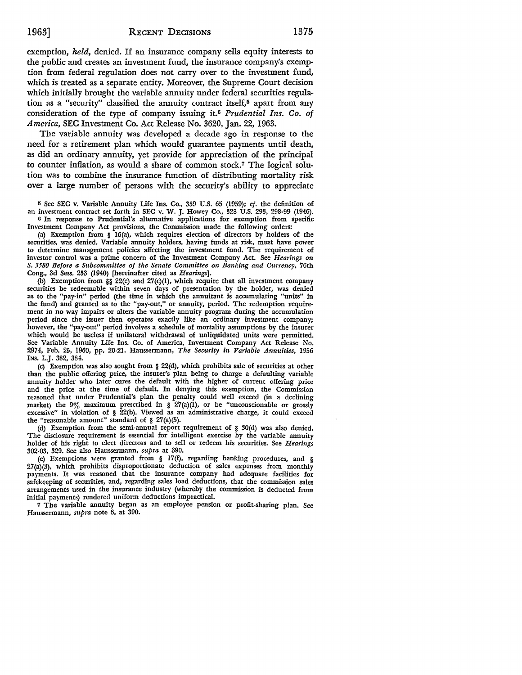exemption, *held,* denied. If an insurance company sells equity interests to the public and creates an investment fund, the insurance company's exemption from federal regulation does not carry over to the investment fund, which is treated as a separate entity. Moreover, the Supreme Court decision which initially brought the variable annuity under federal securities regulation as a "security" classified the annuity contract itself,<sup>5</sup> apart from any consideration of the type of company issuing it.6 *Prudential Ins. Co. of America,* SEC Investment Co. Act Release No. 3620, Jan. 22, 1963.

The variable annuity was developed a decade ago in response to the need for a retirement plan which would guarantee payments until death, as did an ordinary annuity, yet provide for appreciation of the principal to counter inflation, as would a share of common stock.<sup>7</sup> The logical solution was to combine the insurance function of distributing mortality risk over a large number of persons with the security's ability to appreciate

IS See SEC v. Variable Annuity Life Ins. Co., 359 U.S. 65 (1959); *cf.* the definition of an investment contract set forth in SEC v. W. J. Howey Co., 328 U.S. 293, 298-99 (1946). <sup>6</sup>In response to Prudential's alternative applications for exemption from specific Investment Company Act provisions, the Commission made the following orders:

(a) Exemption from § 16(a), which requires election of directors by holders of the securities, was denied. Variable annuity holders, having funds at risk, must have power to determine management policies affecting the investment fund. The requirement of investor control was a prime concern of the Investment Company Act. See *Hearings on S. 3580 Before a Subcommittee of the Senate Committee on Banking and Currency,* 76th Cong., 3d Sess. 253 (1940) (hereinafter cited as *Hearings].* 

(b) Exemption from §§ 22(e) and 27(c)(l), which require that all investment company securities be redeemable within seven days of presentation by the holder, was denied as to the "pay-in" period (the time in which the annuitant is accumulating "units" in the fund) and granted as to the "pay-out," or annuity, period. The redemption requirement in no way impairs or alters the variable annuity program during the accumulation period since the issuer then operates exactly like an ordinary investment company; however, the "pay-out" period involves a schedule of mortality assumptions by the insurer which would be useless if unilateral withdrawal of unliquidated units were permitted. See Variable Annuity Life Ins. Co. of America, Investment Company Act Release No. 2974, Feb. 25, 1960, pp. 20-21. Haussermann, *The Security in Variable Annuities,* 1956 INS. L.J. 382, 384.

(c) Exemption was also sought from § 22(d), which prohibits sale of securities at other than the public offering price, the insurer's plan being to charge a defaulting variable annuity holder who later cures the default with the higher of current offering price and the price at the time of default. In denying this exemption, the Commission reasoned that under Prudential's plan the penalty could well exceed (in a declining market) the 9% maximum prescribed in  $\S$  27(a)(l), or be "unconscionable or grossly excessive" in violation of § 22(b). Viewed as an administrative charge, it could exceed the "reasonable amount" standard of  $\S$  27(a)(5).

(d) Exemption from the semi-annual report requirement of § 30(d) was also denied. The disclosure requirement is essential for intelligent exercise by the variable annuity holder of his right to elect directors and to sell or redeem his securities. See *Hearings*  302-03, 329. See also Haussermann, *supra* at 390.

(e) Exemptions were granted from § 17(f), regarding banking procedures, and §  $27(a)(3)$ , which prohibits disproportionate deduction of sales expenses from monthly payments. It was reasoned that the insurance company had adequate facilities for safekeeping of securities, and, regarding sales load deductions, that the commission sales arrangements used in the insurance industry (whereby the commission is deducted from initial payments) rendered uniform deductions impractical.

7 The variable annuity began as an employee pension or profit-sharing plan. See Haussermann, *supra* note 6, at 390.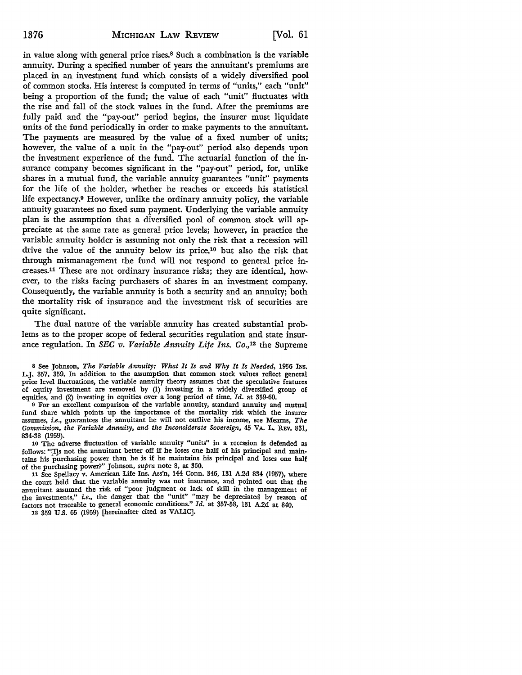in value along with general price rises.8 Such a combination is the variable annuity. During a specified number of years the annuitant's premiums are placed in an investment fund which consists of a widely diversified pool of common stocks. His interest is computed in terms of "units," each "unit" being a proportion of the fund; the value of each "unit" fluctuates with the rise and fall of the stock values in the fund. After the premiums are fully paid and the "pay-out" period begins, the insurer must liquidate units of the fund periodically in order to make payments to the annuitant. The payments are measured by the value of a fixed number of units; however, the value of a unit in the "pay-out" period also depends upon the investment experience of the fund. The actuarial function of the insurance company becomes significant in the "pay-out" period, for, unlike shares in a mutual fund, the variable annuity guarantees "unit" payments for the life of the holder, whether he reaches or exceeds his statistical life expectancy.9 However, unlike the ordinary annuity policy, the variable annuity guarantees no fixed sum payment. Underlying the variable annuity plan is the assumption that a diversified pool of common stock will appreciate at the same rate as general price levels; however, in practice the variable annuity holder is assuming not only the risk that a recession will drive the value of the annuity below its price,10 but also the risk that through mismanagement the fund will not respond to general price increases.11 These are not ordinary insurance risks; they are identical, however, to the risks facing purchasers of shares in an investment company. Consequently, the variable annuity is both a security and an annuity; both the mortality risk of insurance and the investment risk of securities are quite significant.

The dual nature of the variable annuity has created substantial problems as to the proper scope of federal securities regulation and state insurance regulation. In *SEC v. Variable Annuity Life Ins.* Co.,12 the Supreme

s See Johnson, *The Variable Annuity: What It Is and Why It Is Needed,* 1956 INs. L.J. 357, 359. In addition to the assumption that common stock values reflect general price level fluctuations, the variable annuity theory assumes that the speculative features of equity investment are removed by (1) investing in a widely diversified group of equities, and (2) investing in equities over a long period of time. *Id.* at 359-60.

<sup>9</sup>For an excellent comparison of the variable annuity, standard annuity and mutual fund share which points up the importance of the mortality risk which the insurer assumes, *i.e.,* guarantees the annuitant he will not outlive his income, see Mearns, *The Commission, the Variable Annuity, and the Inconsiderate Sovereign,* 45 VA. L. REv. 831, 834-38 (1959).

10 The adverse fluctuation of variable annuity "units" in a recession is defended as follows: "[I)s not the annuitant better off if he loses one half of his principal and maintains his purchasing power than he is if he maintains his principal and loses one half of the purchasing power?" Johnson, *supra* note 8, at 360.

11 See Spellacy v. American Life Ins. Ass'n, 144 Conn. 346, 131 A.2d 834 (1957), where the court held that the variable annuity was not insurance, and pointed out that the annuitant assumed the risk of "poor judgment or lack of skill in the management of the investments," *i.e.,* the danger that the "unit" "may be depreciated by reason of factors not traceable to general economic conditions." *Id.* at 357-58, 131 A.2d at 840.

12 359 U.S. 65 (1959) [hereinafter cited as VALIC).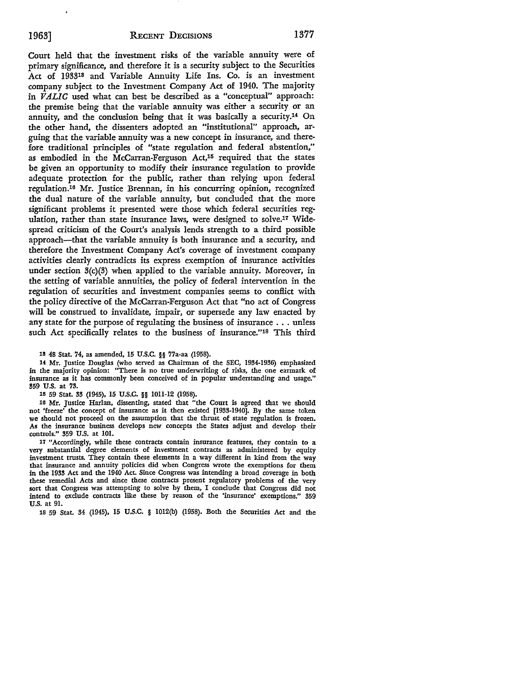Court held that the investment risks of the variable annuity were of primary significance, and therefore it is a security subject to the Securities Act of 19331s and Variable Annuity Life Ins. Co. is an investment company subject to the Investment Company Act of 1940. The majority in *VALIC* used what can best be described as a "conceptual" approach: the premise being that the variable annuity was either a security or an annuity, and the conclusion being that it was basically a security.14 On the other hand, the dissenters adopted an "institutional" approach, arguing that the variable annuity was a new concept in insurance, and therefore traditional principles of "state regulation and federal abstention," as embodied in the McCarran-Ferguson Act,16 required that the states be given an opportunity to modify their insurance regulation to provide adequate protection for the public, rather than relying upon federal regulation.16 Mr. Justice Brennan, in his concurring opinion, recognized the dual nature of the variable annuity, but concluded that the more significant problems it presented were those which federal securities regulation, rather than state insurance laws, were designed to solve.17 Widespread criticism of the Court's analysis lends strength to a third possible approach--that the variable annuity is both insurance and a security, and therefore the Investment Company Act's coverage of investment company activities clearly contradicts its express exemption of insurance activities under section 3(c)(3) when applied to the variable annuity. Moreover, in the setting of variable annuities, the policy of federal intervention in the regulation of securities and investment companies seems to conflict with the policy directive of the McCarran-Ferguson Act that "no act of Congress will be construed to invalidate, impair, or supersede any law enacted by any state for the purpose of regulating the business of insurance . . . unless such Act specifically relates to the business of insurance."18 This third

1s 48 Stat. 74, as amended, 15 U.S.C. §§ 77a-aa (1958).

H Mr. Justice Douglas (who served as Chairman of the SEC, 1934-1936) emphasized in the majority opinion: "There is no true underwriting of risks, the one earmark of insurance as it has commonly been conceived of in popular understanding and usage." 359 U.S. at 73.

15 59 Stat. 33 (1945), 15 U.S.C. §§ IOII-12 (1958).

16 Mr. Justice Harlan, dissenting, stated that "the Court is agreed that we should not 'freeze' the concept of insurance as it then existed [1933-1940]. By the same token we should not proceed on the assumption that the thrust of state regulation is frozen. As the insurance business develops new concepts the States adjust and develop their controls." 359 U.S. at 101.

17 "Accordingly, while these contracts contain insurance features, they contain to a very substantial degree elements of investment contracts as administered by equity investment trusts. They contain these elements in a way different in kind from the way that insurance and annuity policies did when Congress wrote the exemptions for them in the 1933 Act and the 1940 Act. Since Congress was intending a broad coverage in both these remedial Acts and since these contracts present regulatory problems of the very sort that Congress was attempting to solve by them, I conclude that Congress did not intend to exclude contracts like these by reason of the 'insurance' exemptions." 359 U.S. at 91.

18 59 Stat. 34 (1945), 15 U.S.C. § 1012(b) (1958). Both the Securities Act and the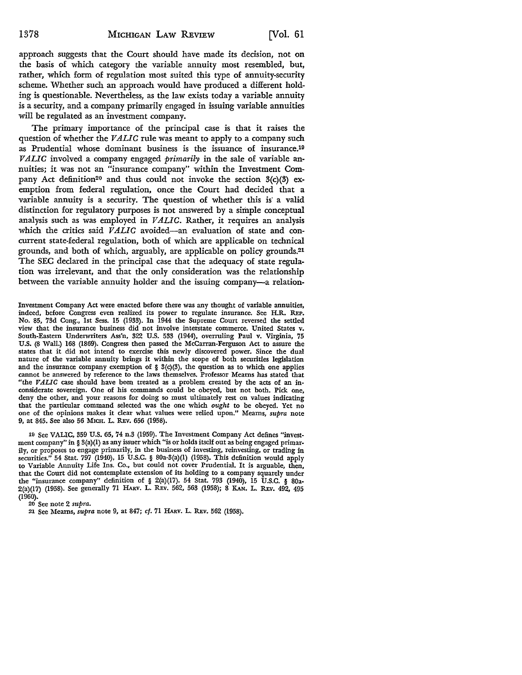approach suggests that the Court should have made its decision, not on the basis of which category the variable annuity most resembled, but, rather, which form of regulation most suited this type of annuity-security scheme. Whether such an approach would have produced a different holding is questionable. Nevertheless, as the law exists today a variable annuity is a security, and a company primarily engaged in issuing variable annuities will be regulated as an investment company.

The primary importance of the principal case is that it raises the question of whether the *VALIC* rule was meant to apply to a company such as Prudential whose dominant business is the issuance of insurance.10 *V ALIC* involved a company engaged *primarily* in the sale of variable annuities; it was not an "insurance company" within the Investment Company Act definition<sup>20</sup> and thus could not invoke the section  $3(c)(3)$  exemption from federal regulation, once the Court had decided that a variable annuity is a security. The question of whether this is a valid distinction for regulatory purposes is not answered by a simple conceptual analysis such as was employed in *VALIC*. Rather, it requires an analysis which the critics said *VALIC* avoided-an evaluation of state and concurrent state-federal regulation, both of which are applicable on technical grounds, and both of which, arguably, are applicable on policy grounds.21 The SEC declared in the principal case that the adequacy of state regulation was irrelevant, and that the only consideration was the relationship between the variable annuity holder and the issuing company-a relation-

Investment Company Act were enacted before there was any thought of variable annuities, indeed, before Congress even realized its power to regulate insurance. See H.R. REP. No. 85, 73d Cong., 1st Sess. 15 (1933). In 1944 the Supreme Court reversed the settled view that the insurance business did not involve interstate commerce. United States v. South-Eastern Underwriters Ass'n, 322 U.S. 533 (1944), overruling Paul v. Virginia, 75 U.S. (8 Wall.) 168 (1869). Congress then passed the McCarran-Ferguson Act to assure the states that it did not intend to exercise this newly discovered power. Since the dual nature of the variable annuity brings it within the scope of both securities legislation and the insurance company exemption of  $\S$  3(c)(3), the question as to which one applies cannot be answered by reference to the laws themselves. Professor Mearns has stated that "the *VALIC* case should have been treated as a problem created by the acts of an inconsiderate sovereign. One of his commands could be obeyed, but not both. Pick one, deny the other, and your reasons for doing so must ultimately rest on values indicating that the particular command selected was the one which *ought* to be obeyed. Yet no one of the opinions makes it clear what values were relied upon." Mearns, *supra* note 9, at 845. See also 56 MICH. L. REv. 656 (1958).

19 See VALIC, 359 U.S. 65, 74 n.3 (1959). The Investment Company Act defines "investment company" in § 3(a)(l) as any issuer which "is or holds itself out as being engaged primarily, or proposes to engage primarily, in the business of investing, reinvesting, or trading in securities." 54 Stat. 797 (1940), 15 U.S.C. § 80a-3(a)(1) (1958). This definition would apply to Variable Annuity Life Ins. Co., but could not cover Prudential. It is arguable, then, that the Court did not contemplate extension of its holding to a company squarely under the "insurance company" definition of § 2(a)(l7). 54 Stat. 793 (1940), 15 U.S.C. § 80a-2(a)(l7) (1958). See generally 71 HARV. L. REv. 562, 563 (1958); 8 KAN. L. REv. 492, 495 (1960).

20 See note 2 *supra.* 

21 See Mearns, *supra* note 9, at 847; *cf.* 71 HARv. L. REv. 562 (1958).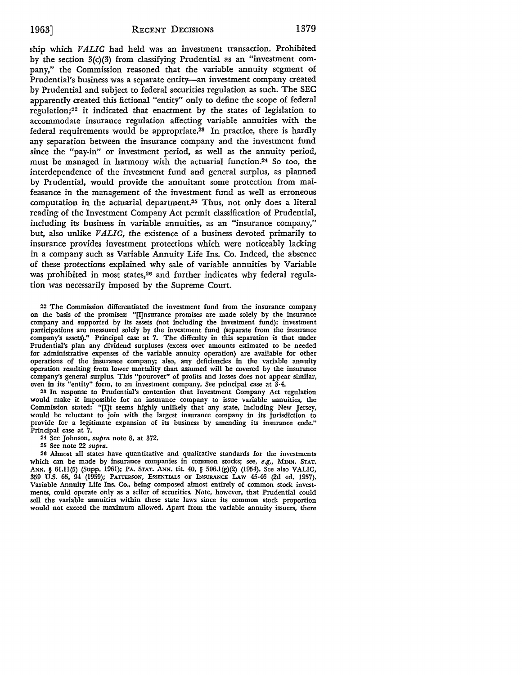ship which *V ALIC* had held was an investment transaction. Prohibited by the section 3(c)(3) from classifying Prudential as an "investment company," the Commission reasoned that the variable annuity segment of Prudential's business was a separate entity-an investment company created by Prudential and subject to federal securities regulation as such. The SEC apparently created this fictional "entity" only to define the scope of federal regulation; $2<sup>2</sup>$  it indicated that enactment by the states of legislation to accommodate insurance regulation affecting variable annuities with the federal requirements would be appropriate.28 In practice, there is hardly any separation between the insurance company and the investment fund since the "pay-in" or investment period, as well as the annuity period, must be managed in harmony with the actuarial function.24 So too, the interdependence of the investment fund and general surplus, as planned by Prudential, would provide the annuitant some protection from malfeasance in the management of the investment fund as well as erroneous computation in the actuarial department.25 Thus, not only does a literal reading of the Investment Company Act permit classification of Prudential, including its business in variable annuities, as an "insurance company," but, also unlike *VALIC,* the existence of a business devoted primarily to insurance provides investment protections which were noticeably lacking in a company such as Variable Annuity Life Ins. Co. Indeed, the absence of these protections explained why sale of variable annuities by Variable was prohibited in most states,<sup>26</sup> and further indicates why federal regulation was necessarily imposed by the Supreme Court.

22 The Commission differentiated the investment fund from the insurance company on the basis of the promises: "[I]nsurance promises are made solely by the insurance company and supported by its assets (not including the investment fund); investment participations are measured solely by the investment fund (separate from the insurance company's assets)." Principal case at 7. The difficulty in this separation is that under Prudential's plan any dividend surpluses (excess over amounts estimated to be needed for administrative expenses of the variable annuity operation) are available for other operations of the insurance company; also, any deficiencies in the variable annuity operation resulting from lower mortality than assumed will be covered by the insurance company's general surplus. This "pourover" of profits and losses does not appear similar, even in its "entity" form, to an investment company. See principal case at 3-4.

28 In response to Prudential's contention that Investment Company Act regulation would make it impossible for an insurance company to issue variable annuities, the Commission stated: "[I]t seems highly unlikely that any state, including New Jersey, would be reluctant to join with the largest insurance company in its jurisdiction to provide for a legitimate expansion of its business by amending its insurance code." Principal case at 7.

24 See Johnson, *supra* note 8, at 372.

25 See note 22 *supra.* 

26 Almost all states have quantitative and qualitative standards for the investments which can be made by insurance companies in common stocks; see, *e.g.,* Mnm. STAT. ANN. § 61.ll(5) (Supp. 1961); PA. STAT. ANN. tit. 40, § 5O6.l(g)(2) (1954). See also VALIC, 359 U.S. 65, 94 (1959); PATTERSON, EssENTIALS OF INSURANCE LAw 45-46 (2d ed. 1957). Variable Annuity Life Ins. Co., being composed almost entirely of common stock investments, could operate only as a seller of securities. Note, however, that Prudential could sell the variable annuities within these state laws since its common stock proportion would not exceed the maximum allowed. Apart from the variable annuity issuers, there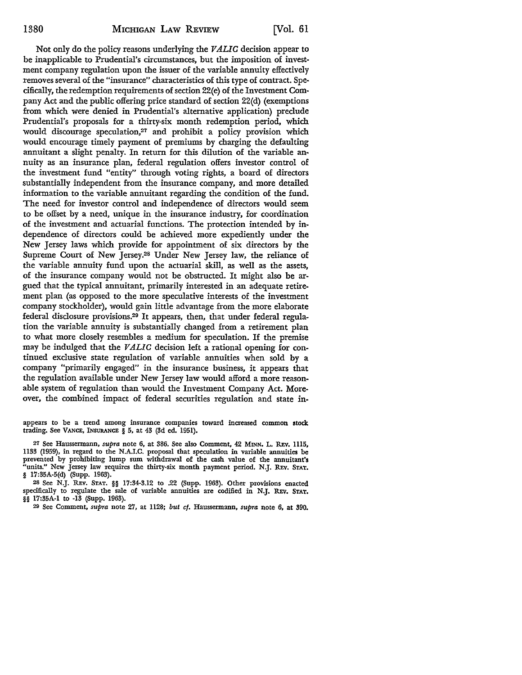Not only do the policy reasons underlying the *V ALIC* decision appear to be inapplicable to Prudential's circumstances, but the imposition of investment company regulation upon the issuer of the variable annuity effectively removes several of the "insurance" characteristics of this type of contract. Specifically, the redemption requirements of section 22(e) of the Investment Company Act and the public offering price standard of section 22(d) (exemptions from which were denied in Prudential's alternative application) preclude Prudential's proposals for a thirty-six month redemption period, which would discourage speculation,<sup>27</sup> and prohibit a policy provision which would encourage timely payment of premiums by charging the defaulting annuitant a slight penalty. In return for this dilution of the variable annuity as an insurance plan, federal regulation offers investor control of the investment fund "entity" through voting rights, a board of directors substantially independent from the insurance company, and more detailed information to the variable annuitant regarding the condition of the fund. The need for investor control and independence of directors would seem to be offset by a need, unique in the insurance industry, for coordination of the investment and actuarial functions. The protection intended by independence of directors could be achieved more expediently under the New Jersey laws which provide for appointment of six directors by the Supreme Court of New Jersey.28 Under New Jersey law, the reliance of the variable annuity fund upon the actuarial skill, as well as the assets, of the insurance company would not be obstructed. It might also be argued that the typical annuitant, primarily interested in an adequate retirement plan (as opposed to the more speculative interests of the investment company stockholder), would gain little advantage from the more elaborate federal disclosure provisions.29 It appears, then, that under federal regulation the variable annuity is substantially changed from a retirement plan to what more closely resembles a medium for speculation. If the premise may be indulged that the *VALIC* decision left a rational opening for continued exclusive state regulation of variable annuities when sold by a company "primarily engaged" in the insurance business, it appears that the regulation available under New Jersey law would afford a more reasonable system of regulation than would the Investment Company Act. Moreover, the combined impact of federal securities regulation and state in-

appears to be a trend among insurance companies toward increased common stock trading. See VANCE, INSURANCE § 5, at 43 (3d ed. 1951).

27 See Haussermann, *supra* note 6, at 386. See also Comment, 42 MINN. L. REv. 1115, 1133 (1959), in regard to the N.A.I.C. proposal that speculation in variable annuities be prevented by prohibiting lump sum withdrawal of the cash value of the annuitant's "units." New Jersey law requires the thirty-six month payment period. N.J. REV. STAT. § 17:35A-5(d) (Supp. 1963).

28 See N.J. REv. STAT. §§ 17:34-3.12 to .22 (Supp. 1963). Other provisions enacted specifically to regulate the sale of variable annuities are codified in **N.J.** REv. **STAT.**  §§ 17:35A-1 to -13 (Supp. 1963).

29 See Comment, *supra* note 27, at 1128; *but cf.* Haussermann, *supra* note 6, at 390.